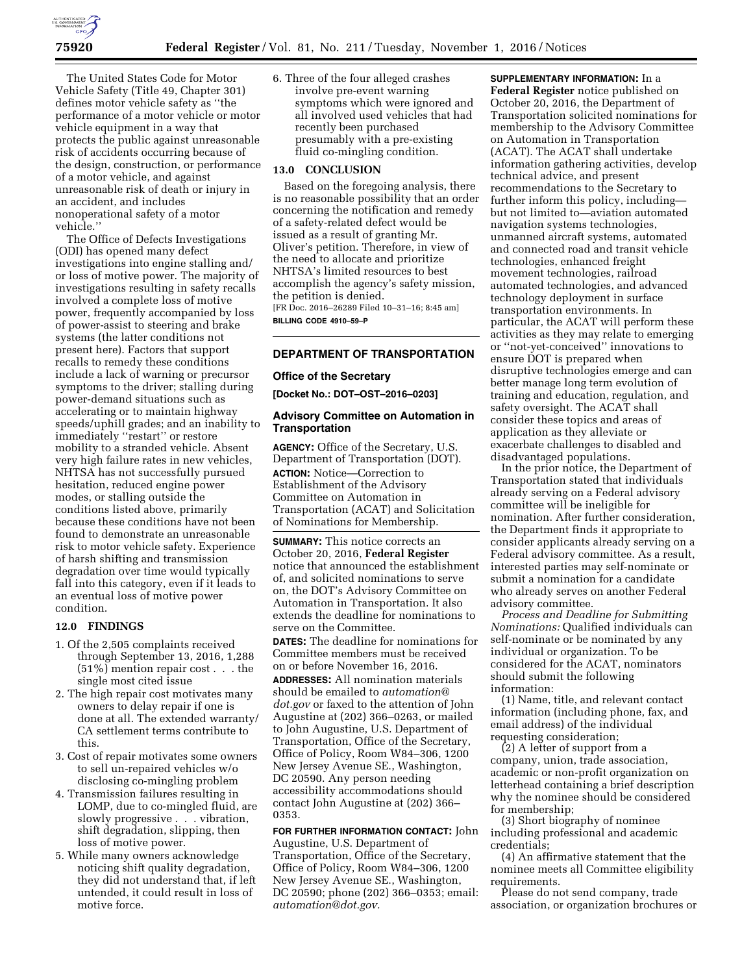

The United States Code for Motor Vehicle Safety (Title 49, Chapter 301) defines motor vehicle safety as ''the performance of a motor vehicle or motor vehicle equipment in a way that protects the public against unreasonable risk of accidents occurring because of the design, construction, or performance of a motor vehicle, and against unreasonable risk of death or injury in an accident, and includes nonoperational safety of a motor vehicle.''

The Office of Defects Investigations (ODI) has opened many defect investigations into engine stalling and/ or loss of motive power. The majority of investigations resulting in safety recalls involved a complete loss of motive power, frequently accompanied by loss of power-assist to steering and brake systems (the latter conditions not present here). Factors that support recalls to remedy these conditions include a lack of warning or precursor symptoms to the driver; stalling during power-demand situations such as accelerating or to maintain highway speeds/uphill grades; and an inability to immediately ''restart'' or restore mobility to a stranded vehicle. Absent very high failure rates in new vehicles, NHTSA has not successfully pursued hesitation, reduced engine power modes, or stalling outside the conditions listed above, primarily because these conditions have not been found to demonstrate an unreasonable risk to motor vehicle safety. Experience of harsh shifting and transmission degradation over time would typically fall into this category, even if it leads to an eventual loss of motive power condition.

#### **12.0 FINDINGS**

- 1. Of the 2,505 complaints received through September 13, 2016, 1,288 (51%) mention repair cost . . . the single most cited issue
- 2. The high repair cost motivates many owners to delay repair if one is done at all. The extended warranty/ CA settlement terms contribute to this.
- 3. Cost of repair motivates some owners to sell un-repaired vehicles w/o disclosing co-mingling problem
- 4. Transmission failures resulting in LOMP, due to co-mingled fluid, are slowly progressive . . . vibration, shift degradation, slipping, then loss of motive power.
- 5. While many owners acknowledge noticing shift quality degradation, they did not understand that, if left untended, it could result in loss of motive force.

6. Three of the four alleged crashes involve pre-event warning symptoms which were ignored and all involved used vehicles that had recently been purchased presumably with a pre-existing fluid co-mingling condition.

### **13.0 CONCLUSION**

Based on the foregoing analysis, there is no reasonable possibility that an order concerning the notification and remedy of a safety-related defect would be issued as a result of granting Mr. Oliver's petition. Therefore, in view of the need to allocate and prioritize NHTSA's limited resources to best accomplish the agency's safety mission, the petition is denied. [FR Doc. 2016–26289 Filed 10–31–16; 8:45 am]

**BILLING CODE 4910–59–P** 

## **DEPARTMENT OF TRANSPORTATION**

### **Office of the Secretary**

**[Docket No.: DOT–OST–2016–0203]** 

### **Advisory Committee on Automation in Transportation**

**AGENCY:** Office of the Secretary, U.S. Department of Transportation (DOT). **ACTION:** Notice—Correction to Establishment of the Advisory Committee on Automation in Transportation (ACAT) and Solicitation of Nominations for Membership.

**SUMMARY:** This notice corrects an October 20, 2016, **Federal Register**  notice that announced the establishment of, and solicited nominations to serve on, the DOT's Advisory Committee on Automation in Transportation. It also extends the deadline for nominations to serve on the Committee. **DATES:** The deadline for nominations for

Committee members must be received on or before November 16, 2016.

**ADDRESSES:** All nomination materials should be emailed to *[automation@](mailto:automation@dot.gov) [dot.gov](mailto:automation@dot.gov)* or faxed to the attention of John Augustine at (202) 366–0263, or mailed to John Augustine, U.S. Department of Transportation, Office of the Secretary, Office of Policy, Room W84–306, 1200 New Jersey Avenue SE., Washington, DC 20590. Any person needing accessibility accommodations should contact John Augustine at (202) 366– 0353.

**FOR FURTHER INFORMATION CONTACT:** John Augustine, U.S. Department of Transportation, Office of the Secretary, Office of Policy, Room W84–306, 1200 New Jersey Avenue SE., Washington, DC 20590; phone (202) 366–0353; email: *[automation@dot.gov.](mailto:automation@dot.gov)* 

**SUPPLEMENTARY INFORMATION:** In a **Federal Register** notice published on October 20, 2016, the Department of Transportation solicited nominations for membership to the Advisory Committee on Automation in Transportation (ACAT). The ACAT shall undertake information gathering activities, develop technical advice, and present recommendations to the Secretary to further inform this policy, including but not limited to—aviation automated navigation systems technologies, unmanned aircraft systems, automated and connected road and transit vehicle technologies, enhanced freight movement technologies, railroad automated technologies, and advanced technology deployment in surface transportation environments. In particular, the ACAT will perform these activities as they may relate to emerging or ''not-yet-conceived'' innovations to ensure DOT is prepared when disruptive technologies emerge and can better manage long term evolution of training and education, regulation, and safety oversight. The ACAT shall consider these topics and areas of application as they alleviate or exacerbate challenges to disabled and disadvantaged populations.

In the prior notice, the Department of Transportation stated that individuals already serving on a Federal advisory committee will be ineligible for nomination. After further consideration, the Department finds it appropriate to consider applicants already serving on a Federal advisory committee. As a result, interested parties may self-nominate or submit a nomination for a candidate who already serves on another Federal advisory committee.

*Process and Deadline for Submitting Nominations:* Qualified individuals can self-nominate or be nominated by any individual or organization. To be considered for the ACAT, nominators should submit the following information:

(1) Name, title, and relevant contact information (including phone, fax, and email address) of the individual requesting consideration;

(2) A letter of support from a company, union, trade association, academic or non-profit organization on letterhead containing a brief description why the nominee should be considered for membership;

(3) Short biography of nominee including professional and academic credentials;

(4) An affirmative statement that the nominee meets all Committee eligibility requirements.

Please do not send company, trade association, or organization brochures or